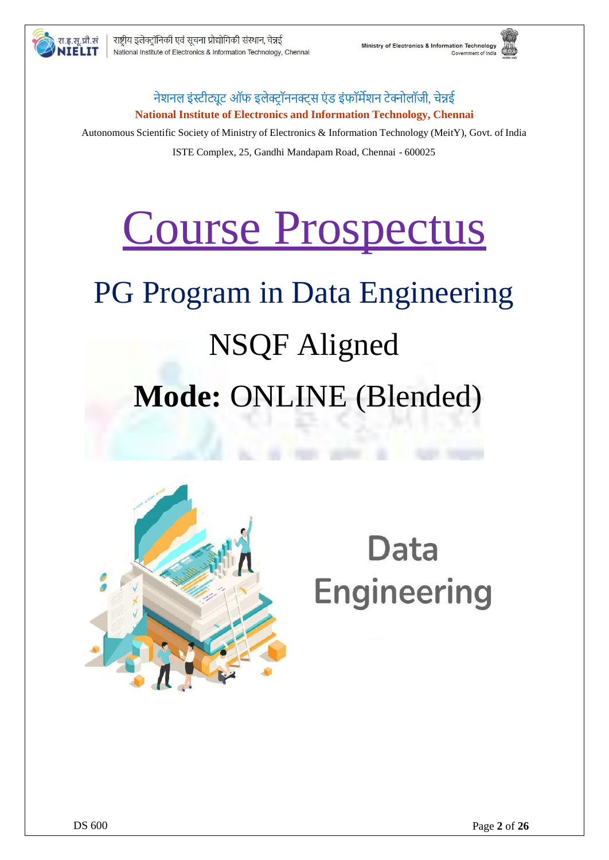

### नेशनल इंस्टीट्यूट ऑफ इलेक्टॉननक्टस एंड इंफॉर्मेशन टेक्नोलॉजी, चेन्नई **National Institute of Electronics and Information Technology, Chennai**

Autonomous Scientific Society of Ministry of Electronics & Information Technology (MeitY), Govt. of India ISTE Complex, 25, Gandhi Mandapam Road, Chennai - 600025

# Course Prospectus

# PG Program in Data Engineering NSQF Aligned **Mode:** ONLINE (Blended)



# Data **Engineering**

रा.इ.सू.प्रौ.सं

ITELIT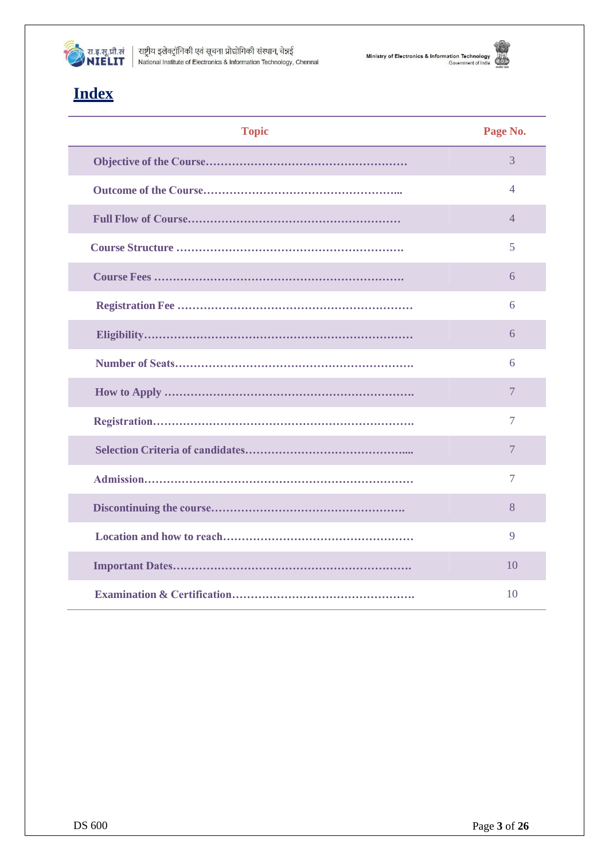

राष्ट्रीय इलेक्ट्रॉनिकी एवं सूचना प्रौद्योगिकी संस्थान, चेन्नई<br>National Institute of Electronics & Information Technology, Chennai





# **Index**

| <b>Topic</b> | Page No.       |
|--------------|----------------|
|              | 3              |
|              | 4              |
|              | $\overline{4}$ |
|              | 5              |
|              | 6              |
|              | 6              |
|              | 6              |
|              | 6              |
|              | 7              |
|              | $\overline{7}$ |
|              | $\tau$         |
|              | $\overline{7}$ |
|              | 8              |
|              | 9              |
|              | 10             |
|              | 10             |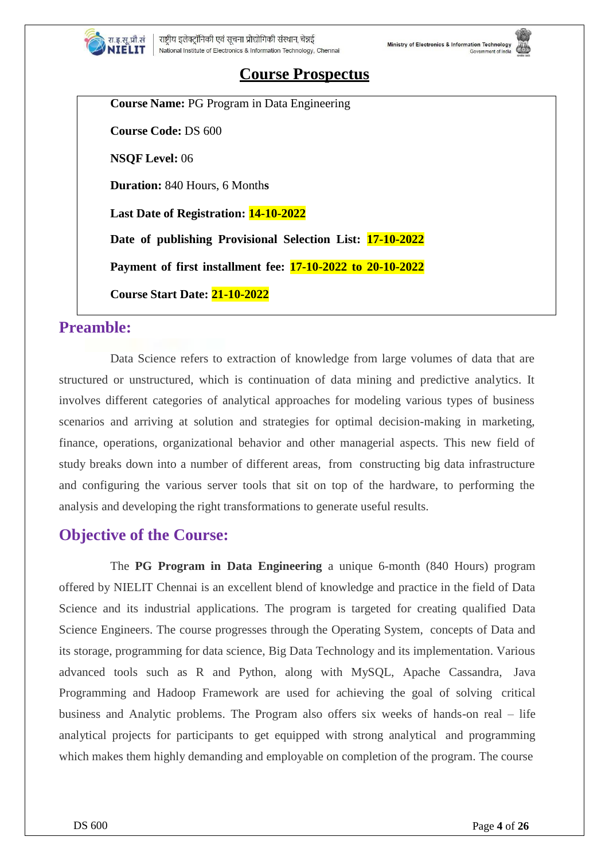

## **Course Prospectus**

Ministry of Electronics & Information Technology

**Course Name:** PG Program in Data Engineering **Course Code:** DS 600 **NSQF Level:** 06 **Duration:** 840 Hours, 6 Month**s Last Date of Registration: 14-10-2022 Date of publishing Provisional Selection List: 17-10-2022 Payment of first installment fee: 17-10-2022 to 20-10-2022**

**Course Start Date: 21-10-2022**

## **Preamble:**

Data Science refers to extraction of knowledge from large volumes of data that are structured or unstructured, which is continuation of data mining and predictive analytics. It involves different categories of analytical approaches for modeling various types of business scenarios and arriving at solution and strategies for optimal decision-making in marketing, finance, operations, organizational behavior and other managerial aspects. This new field of study breaks down into a number of different areas, from constructing big data infrastructure and configuring the various server tools that sit on top of the hardware, to performing the analysis and developing the right transformations to generate useful results.

## **Objective of the Course:**

The **PG Program in Data Engineering** a unique 6-month (840 Hours) program offered by NIELIT Chennai is an excellent blend of knowledge and practice in the field of Data Science and its industrial applications. The program is targeted for creating qualified Data Science Engineers. The course progresses through the Operating System, concepts of Data and its storage, programming for data science, Big Data Technology and its implementation. Various advanced tools such as R and Python, along with MySQL, Apache Cassandra, Java Programming and Hadoop Framework are used for achieving the goal of solving critical business and Analytic problems. The Program also offers six weeks of hands-on real – life analytical projects for participants to get equipped with strong analytical and programming which makes them highly demanding and employable on completion of the program. The course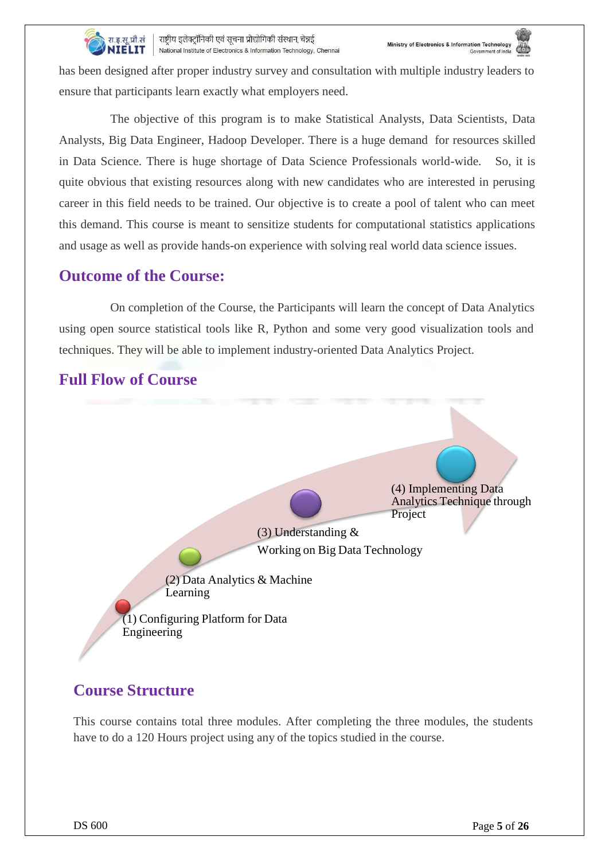

राष्ट्रीय इलेक्ट्रॉनिकी एवं सूचना प्रौद्योगिकी संस्थान, चेन्नई NIELIT National Institute of Electronics & Information Technology, Chennai

has been designed after proper industry survey and consultation with multiple industry leaders to ensure that participants learn exactly what employers need.

The objective of this program is to make Statistical Analysts, Data Scientists, Data Analysts, Big Data Engineer, Hadoop Developer. There is a huge demand for resources skilled in Data Science. There is huge shortage of Data Science Professionals world-wide. So, it is quite obvious that existing resources along with new candidates who are interested in perusing career in this field needs to be trained. Our objective is to create a pool of talent who can meet this demand. This course is meant to sensitize students for computational statistics applications and usage as well as provide hands-on experience with solving real world data science issues.

## **Outcome of the Course:**

techniques. They will be able to implement industry-oriented Data Analytics Project. On completion of the Course, the Participants will learn the concept of Data Analytics using open source statistical tools like R, Python and some very good visualization tools and



# **Full Flow of Course**

# **Course Structure**

This course contains total three modules. After completing the three modules, the students have to do a 120 Hours project using any of the topics studied in the course.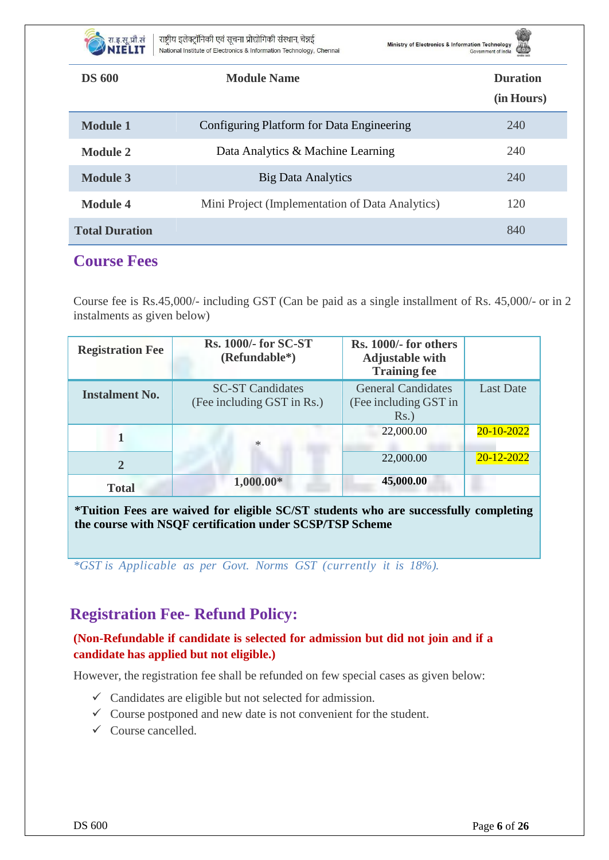

राष्ट्रीय इलेक्ट्रॉनिकी एवं सूचना प्रौद्योगिकी संस्थान, चेन्नई NIELIT National Institute of Electronics & Information Technology, Chennai

Ministry of Electronics & Information Technology



| <b>DS 600</b>         | <b>Module Name</b>                              | <b>Duration</b><br>(in Hours) |
|-----------------------|-------------------------------------------------|-------------------------------|
| <b>Module 1</b>       | Configuring Platform for Data Engineering       | 240                           |
| <b>Module 2</b>       | Data Analytics & Machine Learning               | 240                           |
| <b>Module 3</b>       | <b>Big Data Analytics</b>                       | 240                           |
| <b>Module 4</b>       | Mini Project (Implementation of Data Analytics) | 120                           |
| <b>Total Duration</b> |                                                 | 840                           |

## **Course Fees**

Course fee is Rs.45,000/- including GST (Can be paid as a single installment of Rs. 45,000/- or in 2 instalments as given below)

| <b>Registration Fee</b> | <b>Rs. 1000/- for SC-ST</b><br>(Refundable*)          | Rs. 1000/- for others<br><b>Adjustable with</b><br><b>Training fee</b> |                  |
|-------------------------|-------------------------------------------------------|------------------------------------------------------------------------|------------------|
| <b>Instalment No.</b>   | <b>SC-ST Candidates</b><br>(Fee including GST in Rs.) | <b>General Candidates</b><br>(Fee including GST in<br>$Rs.$ )          | <b>Last Date</b> |
|                         | ∗                                                     | 22,000.00                                                              | 20-10-2022       |
| $\overline{2}$          |                                                       | 22,000.00                                                              | 20-12-2022       |
| <b>Total</b>            | $1,000.00*$                                           | 45,000.00                                                              |                  |

**\*Tuition Fees are waived for eligible SC/ST students who are successfully completing the course with NSQF certification under SCSP/TSP Scheme**

*\*GST is Applicable as per Govt. Norms GST (currently it is 18%).*

# **Registration Fee- Refund Policy:**

#### **(Non-Refundable if candidate is selected for admission but did not join and if a candidate has applied but not eligible.)**

However, the registration fee shall be refunded on few special cases as given below:

- $\checkmark$  Candidates are eligible but not selected for admission.
- $\checkmark$  Course postponed and new date is not convenient for the student.
- $\checkmark$  Course cancelled.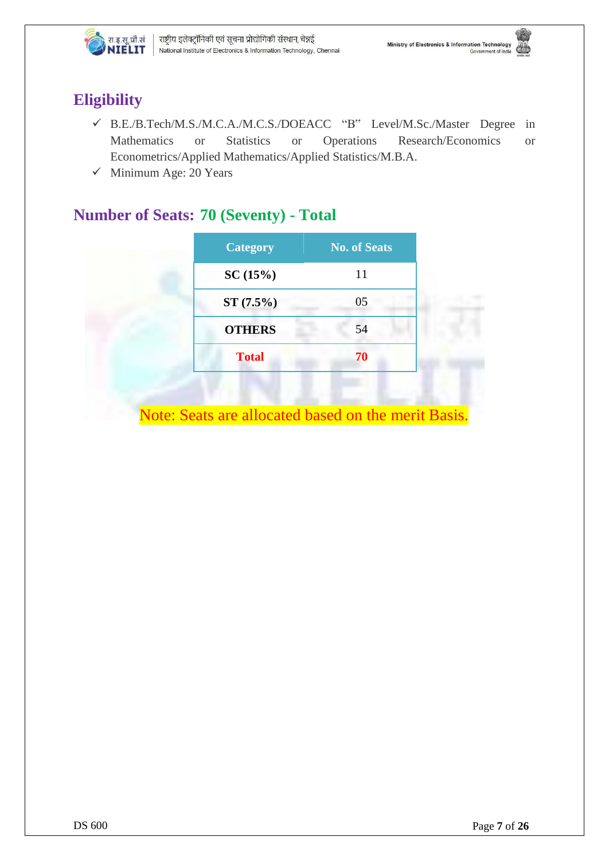

# **Eligibility**

- B.E./B.Tech/M.S./M.C.A./M.C.S./DOEACC "B" Level/M.Sc./Master Degree in Mathematics or Statistics or Operations Research/Economics or Econometrics/Applied Mathematics/Applied Statistics/M.B.A.
- $\checkmark$  Minimum Age: 20 Years

# **Number of Seats: 70 (Seventy) - Total**

| <b>Category</b> | <b>No. of Seats</b> |
|-----------------|---------------------|
| SC(15%)         | 11                  |
| $ST(7.5\%)$     | 05                  |
| <b>OTHERS</b>   | 54                  |
| <b>Total</b>    | 70                  |

Note: Seats are allocated based on the merit Basis.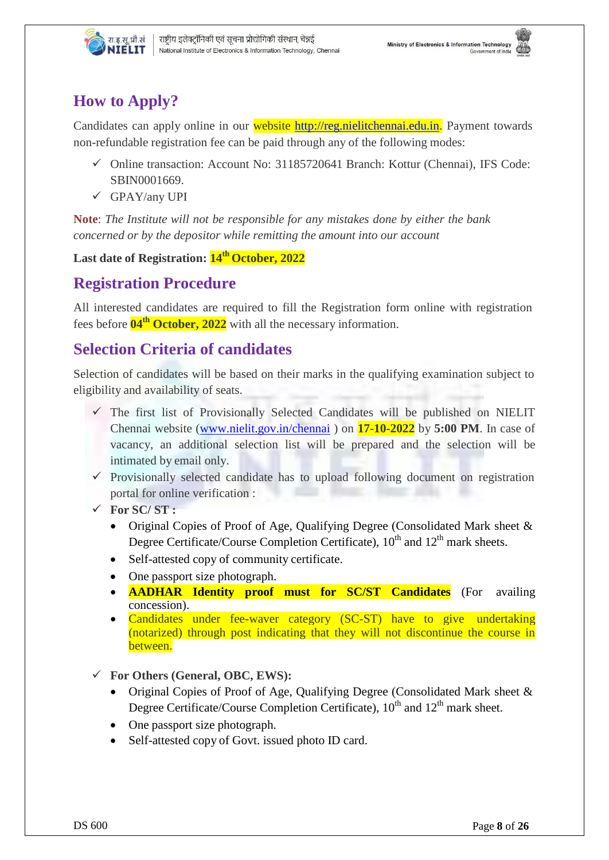

# **How to Apply?**

Candidates can apply online in our website [http://reg.nielitchennai.edu.in.](http://reg.nielitchennai.edu.in/) Payment towards non-refundable registration fee can be paid through any of the following modes:

- Online transaction: Account No: 31185720641 Branch: Kottur (Chennai), IFS Code: SBIN0001669.
- $\checkmark$  GPAY/any UPI

**Note**: *The Institute will not be responsible for any mistakes done by either the bank concerned or by the depositor while remitting the amount into our account*

**Last date of Registration: 14 th October, 2022**

## **Registration Procedure**

All interested candidates are required to fill the Registration form online with registration fees before **04th October, 2022** with all the necessary information.

## **Selection Criteria of candidates**

Selection of candidates will be based on their marks in the qualifying examination subject to eligibility and availability of seats.

- $\checkmark$  The first list of Provisionally Selected Candidates will be published on NIELIT Chennai website [\(www.nielit.gov.in/chennai](http://www.nielit.gov.in/chennai) ) on **17-10-2022** by **5:00 PM**. In case of vacancy, an additional selection list will be prepared and the selection will be intimated by email only.
- $\checkmark$  Provisionally selected candidate has to upload following document on registration portal for online verification :
- **For SC/ ST :**
	- Original Copies of Proof of Age, Qualifying Degree (Consolidated Mark sheet & Degree Certificate/Course Completion Certificate),  $10^{th}$  and  $12^{th}$  mark sheets.
	- Self-attested copy of community certificate.
	- One passport size photograph.
	- **AADHAR Identity proof must for SC/ST Candidates** (For availing concession).
	- Candidates under fee-waver category (SC-ST) have to give undertaking (notarized) through post indicating that they will not discontinue the course in between.
- **For Others (General, OBC, EWS):**
	- Original Copies of Proof of Age, Qualifying Degree (Consolidated Mark sheet & Degree Certificate/Course Completion Certificate),  $10^{th}$  and  $12^{th}$  mark sheet.
	- One passport size photograph.
	- Self-attested copy of Govt. issued photo ID card.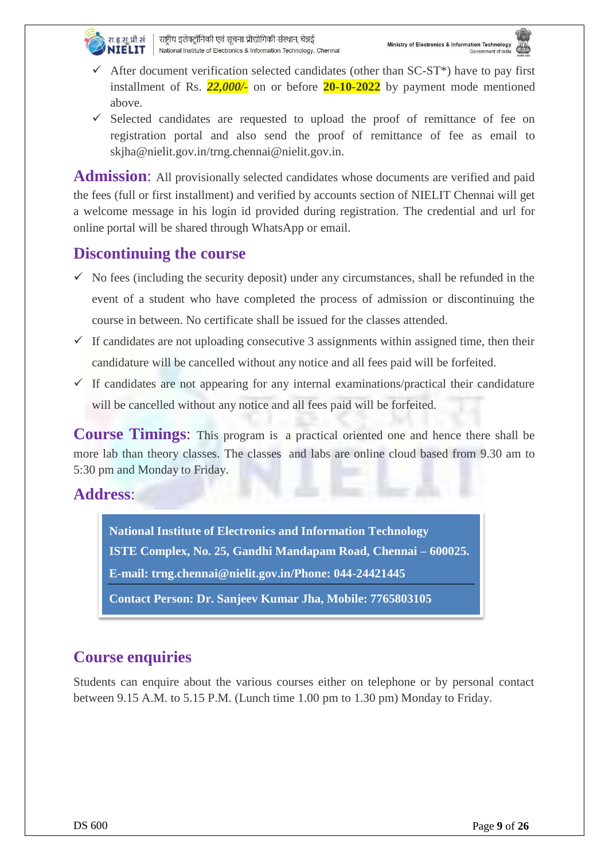

- $\checkmark$  After document verification selected candidates (other than SC-ST<sup>\*</sup>) have to pay first installment of Rs. *22,000/-* on or before **20-10-2022** by payment mode mentioned above.
- $\checkmark$  Selected candidates are requested to upload the proof of remittance of fee on registration portal and also send the proof of remittance of fee as email to skjha@nielit.gov.in[/trng.chennai@nielit.gov.in.](mailto:trng.chennai@nielit.gov.in)

Admission: All provisionally selected candidates whose documents are verified and paid the fees (full or first installment) and verified by accounts section of NIELIT Chennai will get a welcome message in his login id provided during registration. The credential and url for online portal will be shared through WhatsApp or email.

## **Discontinuing the course**

- $\checkmark$  No fees (including the security deposit) under any circumstances, shall be refunded in the event of a student who have completed the process of admission or discontinuing the course in between. No certificate shall be issued for the classes attended.
- $\checkmark$  If candidates are not uploading consecutive 3 assignments within assigned time, then their candidature will be cancelled without any notice and all fees paid will be forfeited.
- $\checkmark$  If candidates are not appearing for any internal examinations/practical their candidature will be cancelled without any notice and all fees paid will be forfeited.

**Course Timings**: This program is a practical oriented one and hence there shall be more lab than theory classes. The classes and labs are online cloud based from 9.30 am to 5:30 pm and Monday to Friday.

## **Address**:

**National Institute of Electronics and Information Technology ISTE Complex, No. 25, Gandhi Mandapam Road, Chennai – 600025. E-mail: trng.chennai@nielit.gov.in/Phone: 044-24421445**

**Contact Person: Dr. Sanjeev Kumar Jha, Mobile: 7765803105**

# **Course enquiries**

Students can enquire about the various courses either on telephone or by personal contact between 9.15 A.M. to 5.15 P.M. (Lunch time 1.00 pm to 1.30 pm) Monday to Friday.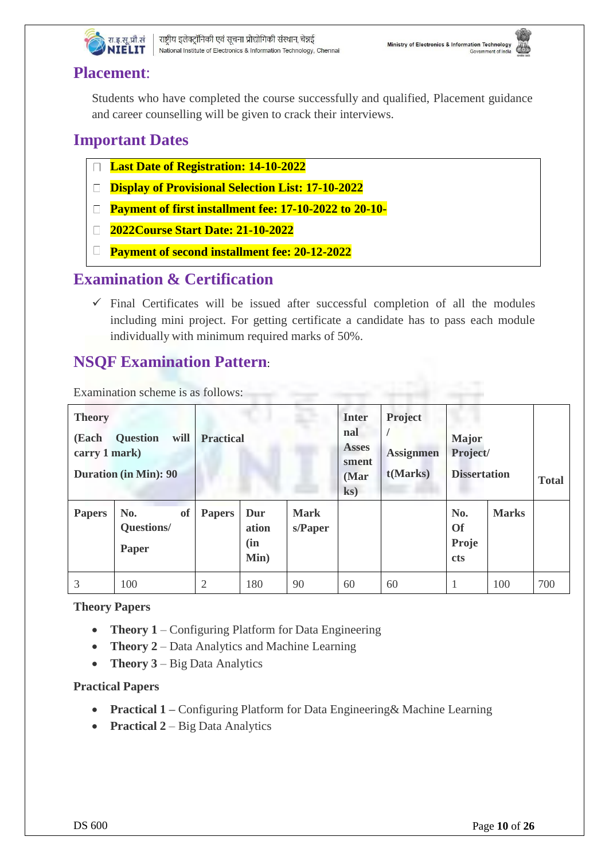

## **Placement**:

Students who have completed the course successfully and qualified, Placement guidance and career counselling will be given to crack their interviews.

# **Important Dates**

- **Last Date of Registration: 14-10-2022**
- **Display of Provisional Selection List: 17-10-2022**
- **Payment of first installment fee: 17-10-2022 to 20-10-**
- **2022Course Start Date: 21-10-2022**
- **Payment of second installment fee: 20-12-2022**

## **Examination & Certification**

 $\checkmark$  Final Certificates will be issued after successful completion of all the modules including mini project. For getting certificate a candidate has to pass each module individually with minimum required marks of 50%.

# **NSQF Examination Pattern**:

Examination scheme is as follows:

| <b>Theory</b><br>(Each<br>carry 1 mark) | <b>Question</b><br>will<br><b>Duration (in Min): 90</b> | <b>Practical</b> |                             | <b>Inter</b><br>nal<br><b>Asses</b><br>sment<br>(Mar<br>$\mathbf{ks}$ | Project<br><b>Major</b><br>Project/<br><b>Assignmen</b><br>t(Marks)<br><b>Dissertation</b> |    |                                         | <b>Total</b> |     |
|-----------------------------------------|---------------------------------------------------------|------------------|-----------------------------|-----------------------------------------------------------------------|--------------------------------------------------------------------------------------------|----|-----------------------------------------|--------------|-----|
| <b>Papers</b>                           | No.<br>of<br>Questions/<br>Paper                        | <b>Papers</b>    | Dur<br>ation<br>(in<br>Min) | <b>Mark</b><br>s/Paper                                                |                                                                                            |    | No.<br><b>Of</b><br>Proje<br><b>cts</b> | <b>Marks</b> |     |
| 3                                       | 100                                                     | 2                | 180                         | 90                                                                    | 60                                                                                         | 60 |                                         | 100          | 700 |

#### **Theory Papers**

- **Theory** 1 Configuring Platform for Data Engineering
- **Theory 2** Data Analytics and Machine Learning
- **Theory 3** Big Data Analytics

#### **Practical Papers**

- **Practical 1 –** Configuring Platform for Data Engineering& Machine Learning
- **Practical** 2 Big Data Analytics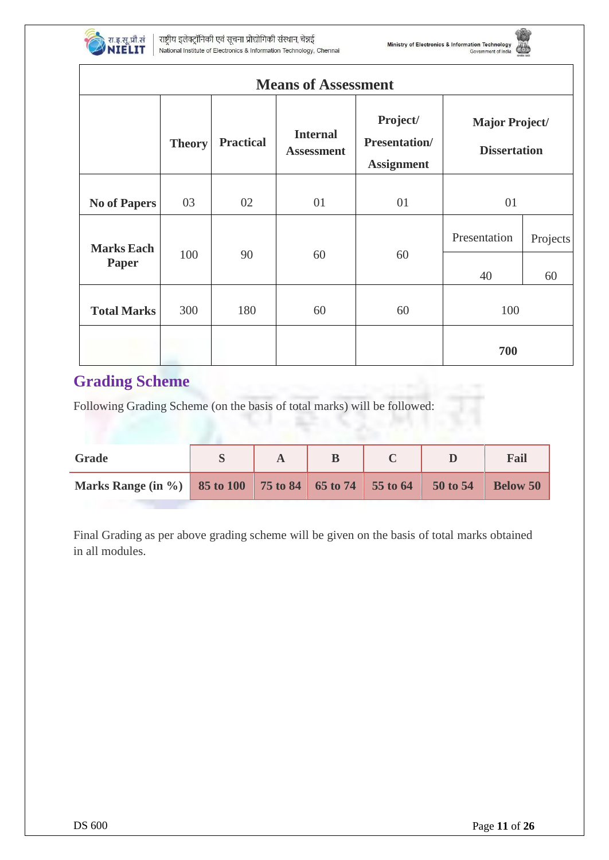

Г

राष्ट्रीय इलेक्ट्रॉनिकी एवं सूचना प्रौद्योगिकी संस्थान, चेन्नई National Institute of Electronics & Information Technology, Chennai



| <b>Means of Assessment</b> |               |                  |                                      |                                                       |                                              |          |  |  |
|----------------------------|---------------|------------------|--------------------------------------|-------------------------------------------------------|----------------------------------------------|----------|--|--|
|                            | <b>Theory</b> | <b>Practical</b> | <b>Internal</b><br><b>Assessment</b> | Project/<br><b>Presentation/</b><br><b>Assignment</b> | <b>Major Project/</b><br><b>Dissertation</b> |          |  |  |
| <b>No of Papers</b>        | 03            | 02               | 01                                   | 01                                                    | 01                                           |          |  |  |
| <b>Marks Each</b><br>Paper | 100           | 90               | 60                                   | 60                                                    | Presentation                                 | Projects |  |  |
|                            |               |                  |                                      |                                                       | 40                                           | 60       |  |  |
| <b>Total Marks</b>         | 300           | 180              | 60                                   | 60                                                    | 100<br>700                                   |          |  |  |

# **Grading Scheme**

Following Grading Scheme (on the basis of total marks) will be followed:

| Grade                                                   |  |  |          | Fail            |
|---------------------------------------------------------|--|--|----------|-----------------|
| Marks Range (in %) 85 to 100 75 to 84 65 to 74 55 to 64 |  |  | 50 to 54 | <b>Below 50</b> |

Final Grading as per above grading scheme will be given on the basis of total marks obtained in all modules.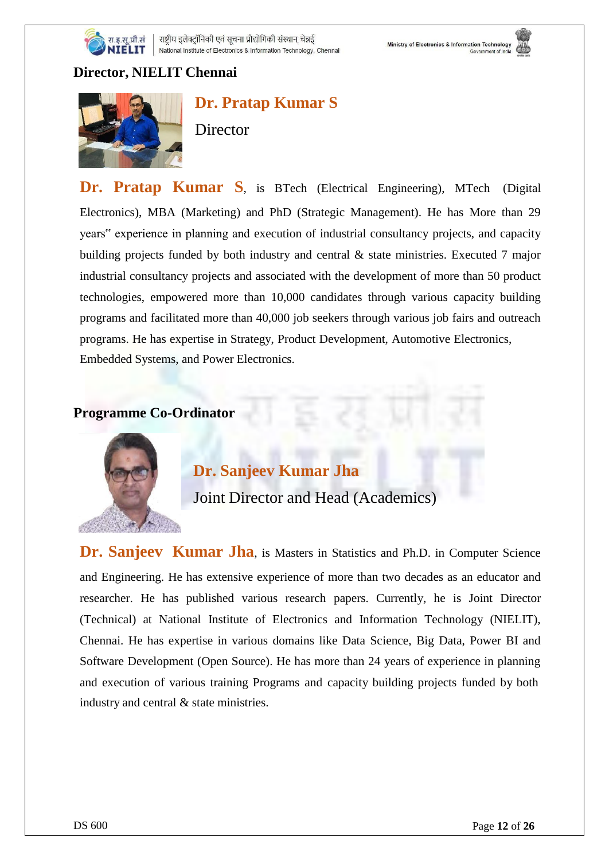

#### **Director, NIELIT Chennai**



**Dr. Pratap Kumar S Director** 

**Dr. Pratap Kumar S**, is BTech (Electrical Engineering), MTech (Digital Electronics), MBA (Marketing) and PhD (Strategic Management). He has More than 29 years" experience in planning and execution of industrial consultancy projects, and capacity building projects funded by both industry and central & state ministries. Executed 7 major industrial consultancy projects and associated with the development of more than 50 product technologies, empowered more than 10,000 candidates through various capacity building programs and facilitated more than 40,000 job seekers through various job fairs and outreach programs. He has expertise in Strategy, Product Development, Automotive Electronics, Embedded Systems, and Power Electronics.

#### **Programme Co-Ordinator**



## **Dr. Sanjeev Kumar Jha**

Joint Director and Head (Academics)

**Dr. Sanjeev Kumar Jha**, is Masters in Statistics and Ph.D. in Computer Science and Engineering. He has extensive experience of more than two decades as an educator and researcher. He has published various research papers. Currently, he is Joint Director (Technical) at National Institute of Electronics and Information Technology (NIELIT), Chennai. He has expertise in various domains like Data Science, Big Data, Power BI and Software Development (Open Source). He has more than 24 years of experience in planning and execution of various training Programs and capacity building projects funded by both industry and central & state ministries.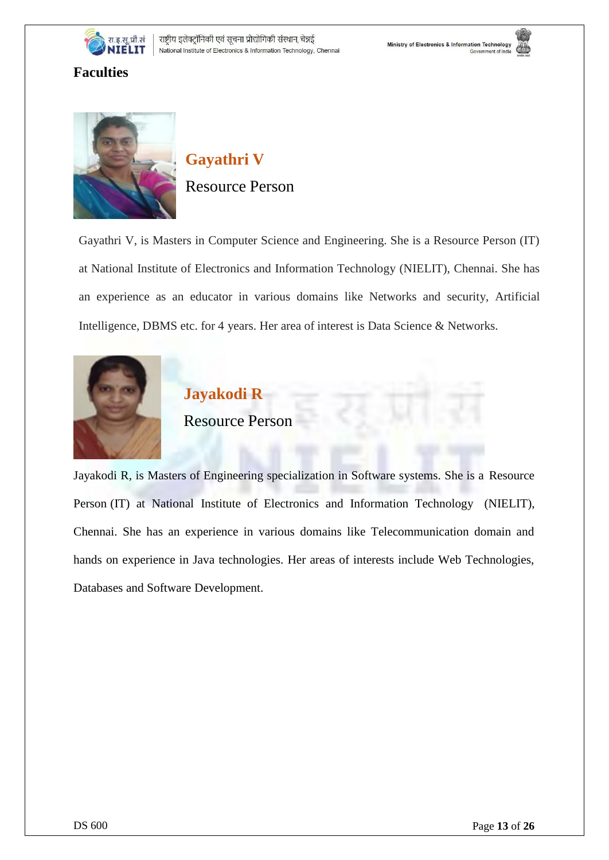





#### **Faculties**



# **Gayathri V** Resource Person

Gayathri V, is Masters in Computer Science and Engineering. She is a Resource Person (IT) at National Institute of Electronics and Information Technology (NIELIT), Chennai. She has an experience as an educator in various domains like Networks and security, Artificial Intelligence, DBMS etc. for 4 years. Her area of interest is Data Science & Networks.



# **Jayakodi R** Resource Person

Jayakodi R, is Masters of Engineering specialization in Software systems. She is a Resource Person (IT) at National Institute of Electronics and Information Technology (NIELIT), Chennai. She has an experience in various domains like Telecommunication domain and hands on experience in Java technologies. Her areas of interests include Web Technologies, Databases and Software Development.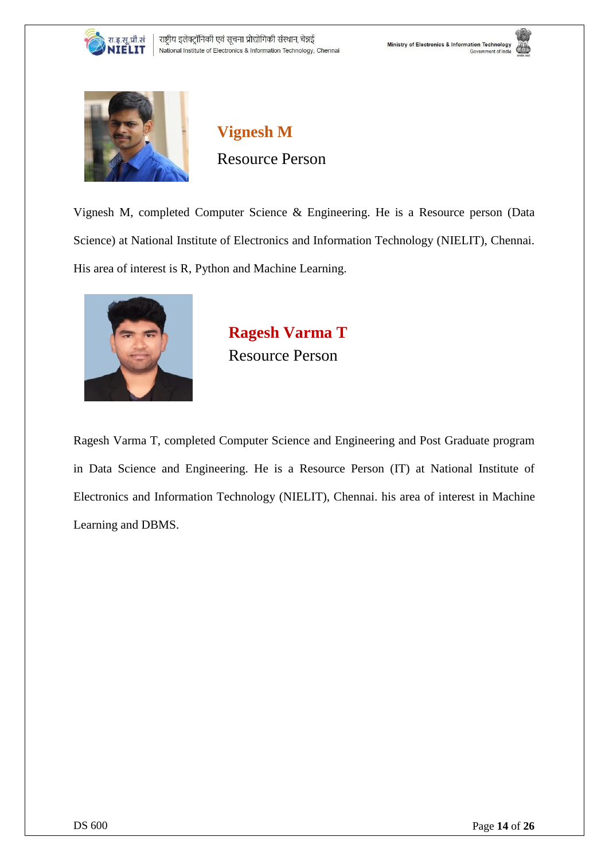







**Vignesh M** Resource Person

Vignesh M, completed Computer Science & Engineering. He is a Resource person (Data Science) at National Institute of Electronics and Information Technology (NIELIT), Chennai. His area of interest is R, Python and Machine Learning.



**Ragesh Varma T** Resource Person

Ragesh Varma T, completed Computer Science and Engineering and Post Graduate program in Data Science and Engineering. He is a Resource Person (IT) at National Institute of Electronics and Information Technology (NIELIT), Chennai. his area of interest in Machine Learning and DBMS.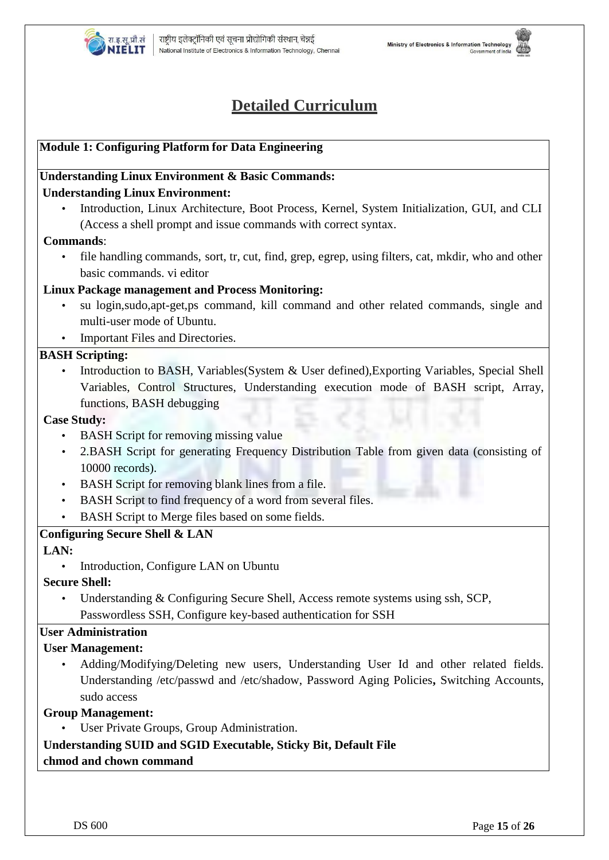

# **Detailed Curriculum**

#### **Module 1: Configuring Platform for Data Engineering**

#### **Understanding Linux Environment & Basic Commands: Understanding Linux Environment:**

• Introduction, Linux Architecture, Boot Process, Kernel, System Initialization, GUI, and CLI (Access a shell prompt and issue commands with correct syntax.

#### **Commands**:

• file handling commands, sort, tr, cut, find, grep, egrep, using filters, cat, mkdir, who and other basic commands. vi editor

#### **Linux Package management and Process Monitoring:**

- su login,sudo,apt-get,ps command, kill command and other related commands, single and multi-user mode of Ubuntu.
- Important Files and Directories.

#### **BASH Scripting:**

• Introduction to BASH, Variables(System & User defined),Exporting Variables, Special Shell Variables, Control Structures, Understanding execution mode of BASH script, Array, functions, BASH debugging

#### **Case Study:**

- BASH Script for removing missing value
- 2.BASH Script for generating Frequency Distribution Table from given data (consisting of 10000 records).
- BASH Script for removing blank lines from a file.
- BASH Script to find frequency of a word from several files.
- BASH Script to Merge files based on some fields.

#### **Configuring Secure Shell & LAN**

#### **LAN:**

• Introduction, Configure LAN on Ubuntu

#### **Secure Shell:**

Understanding & Configuring Secure Shell, Access remote systems using ssh, SCP, Passwordless SSH, Configure key-based authentication for SSH

#### **User Administration**

#### **User Management:**

• Adding/Modifying/Deleting new users, Understanding User Id and other related fields. Understanding /etc/passwd and /etc/shadow, Password Aging Policies**,** Switching Accounts, sudo access

#### **Group Management:**

User Private Groups, Group Administration.

#### **Understanding SUID and SGID Executable, Sticky Bit, Default File**

#### **chmod and chown command**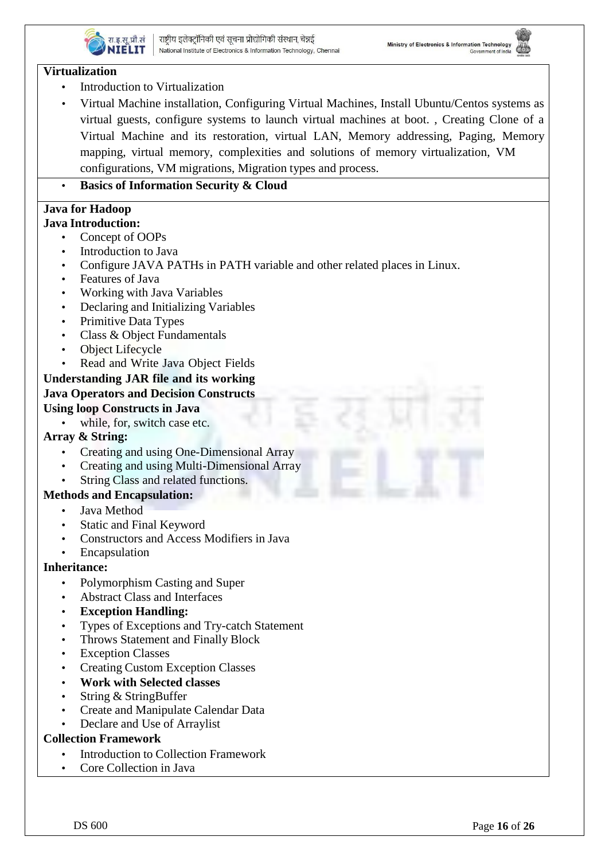

#### **Virtualization**

- Introduction to Virtualization
- Virtual Machine installation, Configuring Virtual Machines, Install Ubuntu/Centos systems as virtual guests, configure systems to launch virtual machines at boot. , Creating Clone of a Virtual Machine and its restoration, virtual LAN, Memory addressing, Paging, Memory mapping, virtual memory, complexities and solutions of memory virtualization, VM configurations, VM migrations, Migration types and process.

• **Basics of Information Security & Cloud**

# **Java for Hadoop**

- **Java Introduction:** Concept of OOPs
	- Introduction to Java
	- Configure JAVA PATHs in PATH variable and other related places in Linux.
	- Features of Java
	- Working with Java Variables
	- Declaring and Initializing Variables
	- Primitive Data Types
	- Class & Object Fundamentals
	- **Object Lifecycle**
	- Read and Write Java Object Fields

#### **Understanding JAR file and its working Java Operators and Decision Constructs**

#### **Using loop Constructs in Java**

while, for, switch case etc.

#### **Array & String:**

- Creating and using One-Dimensional Array
- Creating and using Multi-Dimensional Array
- String Class and related functions.

#### **Methods and Encapsulation:**

- Java Method
- Static and Final Keyword
- Constructors and Access Modifiers in Java
- **Encapsulation**

#### **Inheritance:**

- Polymorphism Casting and Super
- Abstract Class and Interfaces
- **Exception Handling:**
- Types of Exceptions and Try-catch Statement
- Throws Statement and Finally Block
- **Exception Classes**
- Creating Custom Exception Classes
- **Work with Selected classes**
- String & StringBuffer
- Create and Manipulate Calendar Data
- Declare and Use of Arraylist

#### **Collection Framework**

- Introduction to Collection Framework
- Core Collection in Java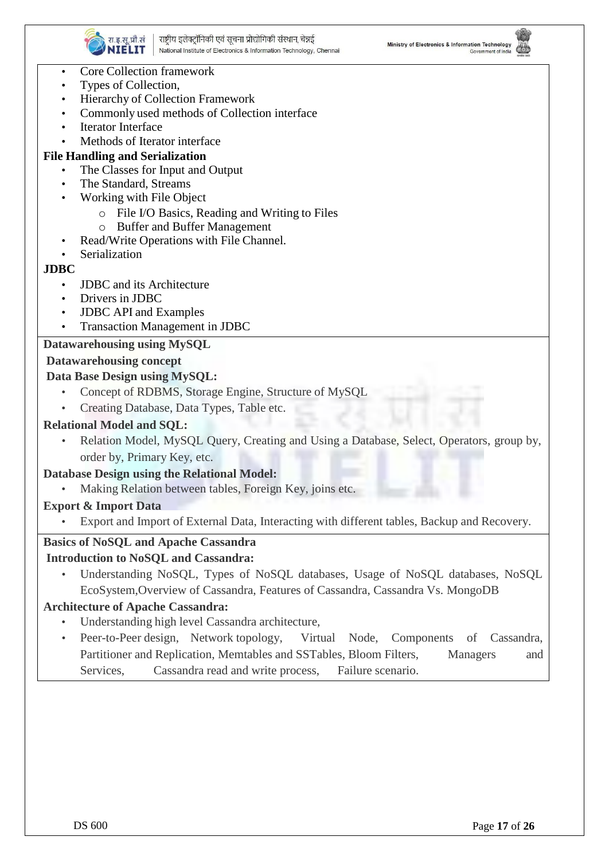



- Core Collection framework
- Types of Collection,
- Hierarchy of Collection Framework
- Commonly used methods of Collection interface
- **Iterator Interface**
- Methods of Iterator interface

#### **File Handling and Serialization**

- The Classes for Input and Output
- The Standard, Streams
- Working with File Object
	- o File I/O Basics, Reading and Writing to Files
	- o Buffer and Buffer Management
- Read/Write Operations with File Channel.
- **Serialization**

#### **JDBC**

- **JDBC** and its Architecture
- Drivers in JDBC
- JDBC API and Examples
- Transaction Management in JDBC

#### **Datawarehousing using MySQL**

#### **Datawarehousing concept**

#### **Data Base Design using MySQL:**

- Concept of RDBMS, Storage Engine, Structure of MySQL
- Creating Database, Data Types, Table etc.

#### **Relational Model and SQL:**

Relation Model, MySQL Query, Creating and Using a Database, Select, Operators, group by, order by, Primary Key, etc.

#### **Database Design using the Relational Model:**

Making Relation between tables, Foreign Key, joins etc.

#### **Export & Import Data**

• Export and Import of External Data, Interacting with different tables, Backup and Recovery.

#### **Basics of NoSQL and Apache Cassandra**

#### **Introduction to NoSQL and Cassandra:**

• Understanding NoSQL, Types of NoSQL databases, Usage of NoSQL databases, NoSQL EcoSystem,Overview of Cassandra, Features of Cassandra, Cassandra Vs. MongoDB

#### **Architecture of Apache Cassandra:**

- Understanding high level Cassandra architecture,
- Peer-to-Peer design, Network topology, Virtual Node, Components of Cassandra, Partitioner and Replication, Memtables and SSTables, Bloom Filters, Managers and Services, Cassandra read and write process, Failure scenario.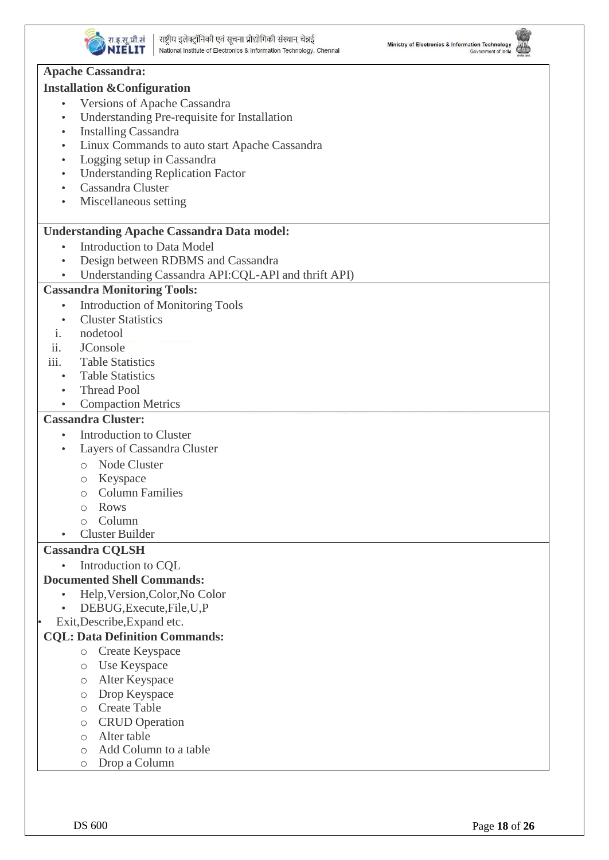





#### NIELIT National Institute of Electronics & Information Technology, Chennal **Apache Cassandra: Installation &Configuration** Versions of Apache Cassandra • Understanding Pre-requisite for Installation • Installing Cassandra • Linux Commands to auto start Apache Cassandra • Logging setup in Cassandra • Understanding Replication Factor • Cassandra Cluster • Miscellaneous setting **Understanding Apache Cassandra Data model: Introduction to Data Model** • Design between RDBMS and Cassandra • Understanding Cassandra API:CQL-API and thrift API) **Cassandra Monitoring Tools:** • Introduction of Monitoring Tools • Cluster Statistics i. nodetool ii. JConsole iii. Table Statistics • Table Statistics • Thread Pool • Compaction Metrics **Cassandra Cluster: Introduction to Cluster** Layers of Cassandra Cluster o Node Cluster o Keyspace o Column Families o Rows o Column • Cluster Builder **Cassandra CQLSH** • Introduction to CQL **Documented Shell Commands:** • Help,Version,Color,No Color • DEBUG,Execute,File,U,P • Exit,Describe,Expand etc. **CQL: Data Definition Commands:** o Create Keyspace o Use Keyspace o Alter Keyspace o Drop Keyspace o Create Table o CRUD Operation o Alter table o Add Column to a table o Drop a Column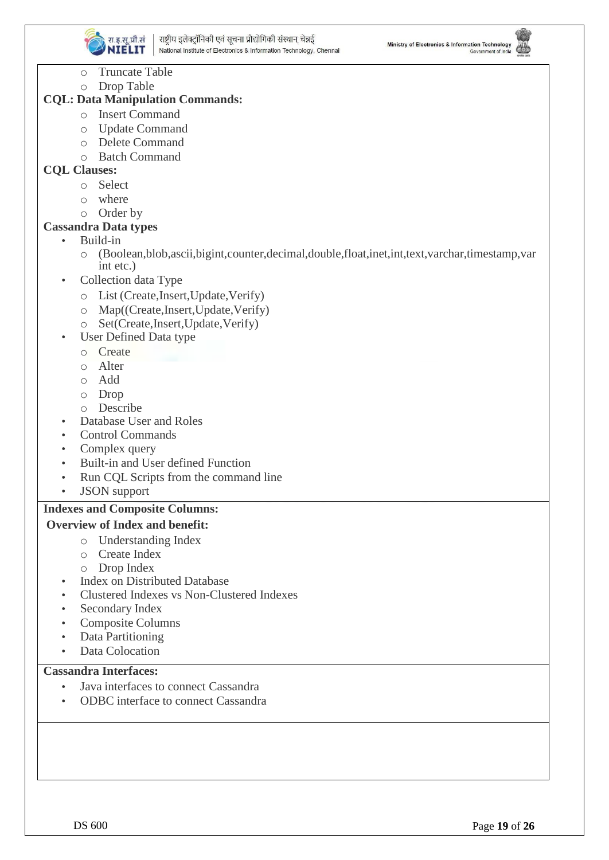





- o Truncate Table
- o Drop Table

#### **CQL: Data Manipulation Commands:**

- o Insert Command
- o Update Command
- o Delete Command
- o Batch Command

#### **CQL Clauses:**

- o Select
- o where
- o Order by

#### **Cassandra Data types**

• Build-in

- o (Boolean,blob,ascii,bigint,counter,decimal,double,float,inet,int,text,varchar,timestamp,var int etc.)
- Collection data Type
	- o List (Create,Insert,Update,Verify)
	- o Map((Create,Insert,Update,Verify)
	- o Set(Create,Insert,Update,Verify)
	- User Defined Data type
	- o Create
	- o Alter
	- o Add
	- o Drop
	- o Describe
- Database User and Roles
- Control Commands
- Complex query
- Built-in and User defined Function
- Run CQL Scripts from the command line
- JSON support

#### **Indexes and Composite Columns:**

#### **Overview of Index and benefit:**

- o Understanding Index
- o Create Index
- o Drop Index
- Index on Distributed Database
- Clustered Indexes vs Non-Clustered Indexes
- Secondary Index
- Composite Columns
- Data Partitioning
- Data Colocation

#### **Cassandra Interfaces:**

- Java interfaces to connect Cassandra
- ODBC interface to connect Cassandra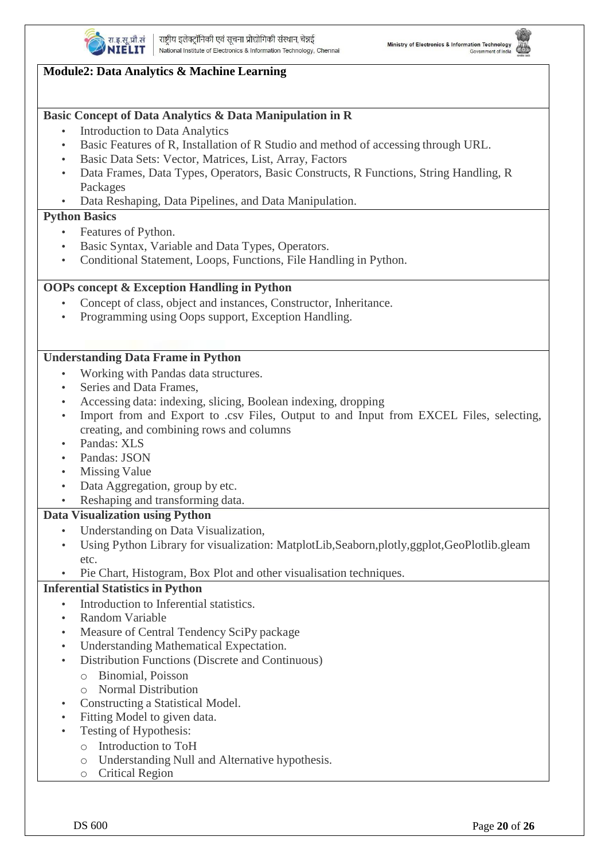



#### **Basic Concept of Data Analytics & Data Manipulation in R**

- **Introduction to Data Analytics**
- Basic Features of R, Installation of R Studio and method of accessing through URL.
- Basic Data Sets: Vector, Matrices, List, Array, Factors
- Data Frames, Data Types, Operators, Basic Constructs, R Functions, String Handling, R Packages
- Data Reshaping, Data Pipelines, and Data Manipulation.

#### **Python Basics**

- Features of Python.
- Basic Syntax, Variable and Data Types, Operators.
- Conditional Statement, Loops, Functions, File Handling in Python.

#### **OOPs concept & Exception Handling in Python**

- Concept of class, object and instances, Constructor, Inheritance.
- Programming using Oops support, Exception Handling.

#### **Understanding Data Frame in Python**

- Working with Pandas data structures.
- Series and Data Frames.
- Accessing data: indexing, slicing, Boolean indexing, dropping
- Import from and Export to .csv Files, Output to and Input from EXCEL Files, selecting, creating, and combining rows and columns
- Pandas: XLS
- Pandas: JSON
- **Missing Value**
- Data Aggregation, group by etc.
- Reshaping and transforming data.

#### **Data Visualization using Python**

- Understanding on Data Visualization,
- Using Python Library for visualization: MatplotLib,Seaborn,plotly,ggplot,GeoPlotlib.gleam etc.
- Pie Chart, Histogram, Box Plot and other visualisation techniques.

#### **Inferential Statistics in Python**

- Introduction to Inferential statistics.
- Random Variable
- Measure of Central Tendency SciPy package
- Understanding Mathematical Expectation.
- Distribution Functions (Discrete and Continuous)
	- o Binomial, Poisson
	- o Normal Distribution
- Constructing a Statistical Model.
- Fitting Model to given data.
- Testing of Hypothesis:
	- o Introduction to ToH
	- o Understanding Null and Alternative hypothesis.
	- o Critical Region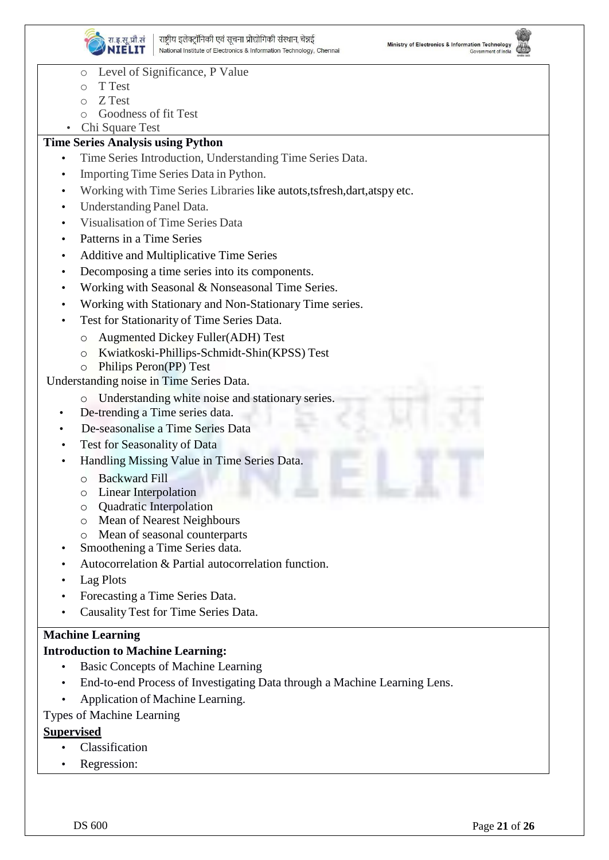



- o Level of Significance, P Value
- o T Test
- o Z Test
- o Goodness of fit Test
- Chi Square Test

#### **Time Series Analysis using Python**

- Time Series Introduction, Understanding Time Series Data.
- Importing Time Series Data in Python.
- Working with Time Series Libraries like autots,tsfresh,dart,atspy etc.
- Understanding Panel Data.
- Visualisation of Time Series Data
- Patterns in a Time Series
- Additive and Multiplicative Time Series
- Decomposing a time series into its components.
- Working with Seasonal & Nonseasonal Time Series.
- Working with Stationary and Non-Stationary Time series.
- Test for Stationarity of Time Series Data.
	- o Augmented Dickey Fuller(ADH) Test
	- o Kwiatkoski-Phillips-Schmidt-Shin(KPSS) Test
	- o Philips Peron(PP) Test

Understanding noise in Time Series Data.

- Understanding white noise and stationary series.
- De-trending a Time series data.
- De-seasonalise a Time Series Data
- Test for Seasonality of Data
- Handling Missing Value in Time Series Data.
	- o Backward Fill
	- o Linear Interpolation
	- o Quadratic Interpolation
	- o Mean of Nearest Neighbours
	- o Mean of seasonal counterparts
- Smoothening a Time Series data.
- Autocorrelation & Partial autocorrelation function.
- Lag Plots
- Forecasting a Time Series Data.
- Causality Test for Time Series Data.

#### **Machine Learning**

#### **Introduction to Machine Learning:**

- Basic Concepts of Machine Learning
- End-to-end Process of Investigating Data through a Machine Learning Lens.
- Application of Machine Learning.

#### Types of Machine Learning

#### **Supervised**

- Classification
- Regression: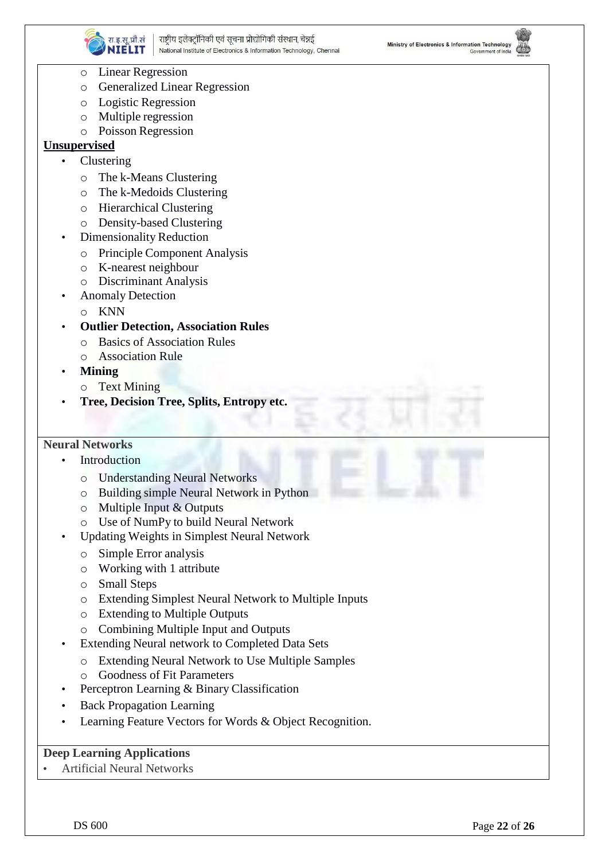



- o Linear Regression
- o Generalized Linear Regression
- o Logistic Regression
- o Multiple regression
- o Poisson Regression

#### **Unsupervised**

- **Clustering** 
	- o The k-Means Clustering
	- o The k-Medoids Clustering
	- o Hierarchical Clustering
	- o Density-based Clustering
- Dimensionality Reduction
	- o Principle Component Analysis
	- o K-nearest neighbour
	- o Discriminant Analysis
- Anomaly Detection
	- o KNN
- **Outlier Detection, Association Rules**
	- o Basics of Association Rules
	- o Association Rule
- **Mining**
	- o Text Mining
- **Tree, Decision Tree, Splits, Entropy etc.**

#### **Neural Networks**

- **Introduction** 
	- o Understanding Neural Networks
	- o Building simple Neural Network in Python
	- o Multiple Input & Outputs
	- o Use of NumPy to build Neural Network
- Updating Weights in Simplest Neural Network
	- o Simple Error analysis
	- o Working with 1 attribute
	- o Small Steps
	- o Extending Simplest Neural Network to Multiple Inputs
	- o Extending to Multiple Outputs
	- o Combining Multiple Input and Outputs
- Extending Neural network to Completed Data Sets
	- o Extending Neural Network to Use Multiple Samples
	- o Goodness of Fit Parameters
- Perceptron Learning & Binary Classification
- Back Propagation Learning
- Learning Feature Vectors for Words & Object Recognition.

#### **Deep Learning Applications**

• Artificial Neural Networks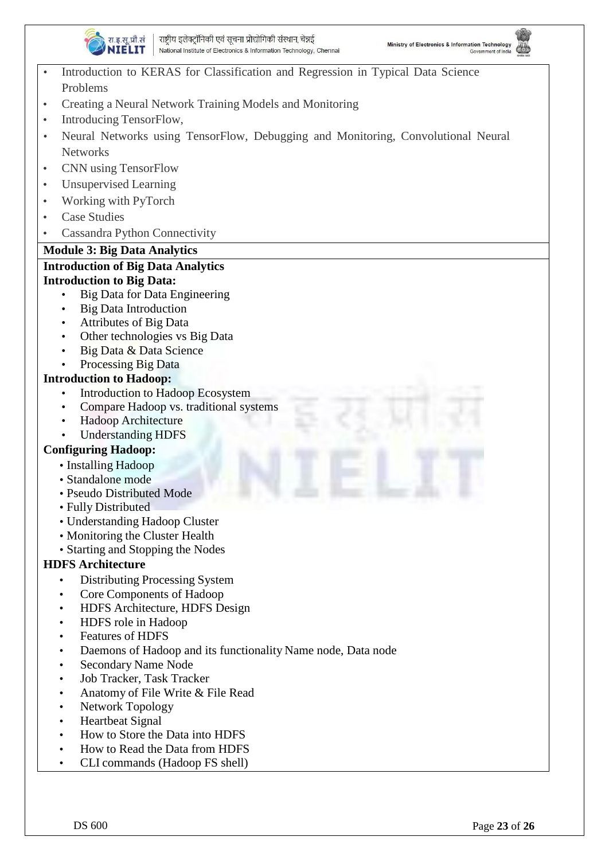



- Introduction to KERAS for Classification and Regression in Typical Data Science Problems
- Creating a Neural Network Training Models and Monitoring
- Introducing TensorFlow,
- Neural Networks using TensorFlow, Debugging and Monitoring, Convolutional Neural **Networks**
- CNN using TensorFlow
- Unsupervised Learning
- Working with PyTorch
- Case Studies
- Cassandra Python Connectivity

#### **Module 3: Big Data Analytics**

#### **Introduction of Big Data Analytics Introduction to Big Data:**

- Big Data for Data Engineering
- Big Data Introduction
- Attributes of Big Data
- Other technologies vs Big Data
- Big Data & Data Science
- Processing Big Data

#### **Introduction to Hadoop:**

- Introduction to Hadoop Ecosystem
- Compare Hadoop vs. traditional systems
- Hadoop Architecture
- Understanding HDFS

#### **Configuring Hadoop:**

- Installing Hadoop
- Standalone mode
- Pseudo Distributed Mode
- Fully Distributed
- Understanding Hadoop Cluster
- Monitoring the Cluster Health
- Starting and Stopping the Nodes

#### **HDFS Architecture**

- Distributing Processing System
- Core Components of Hadoop
- HDFS Architecture, HDFS Design
- HDFS role in Hadoop
- Features of HDFS
- Daemons of Hadoop and its functionality Name node, Data node
- Secondary Name Node
- Job Tracker, Task Tracker
- Anatomy of File Write & File Read
- Network Topology
- Heartbeat Signal
- How to Store the Data into HDFS
- How to Read the Data from HDFS
- CLI commands (Hadoop FS shell)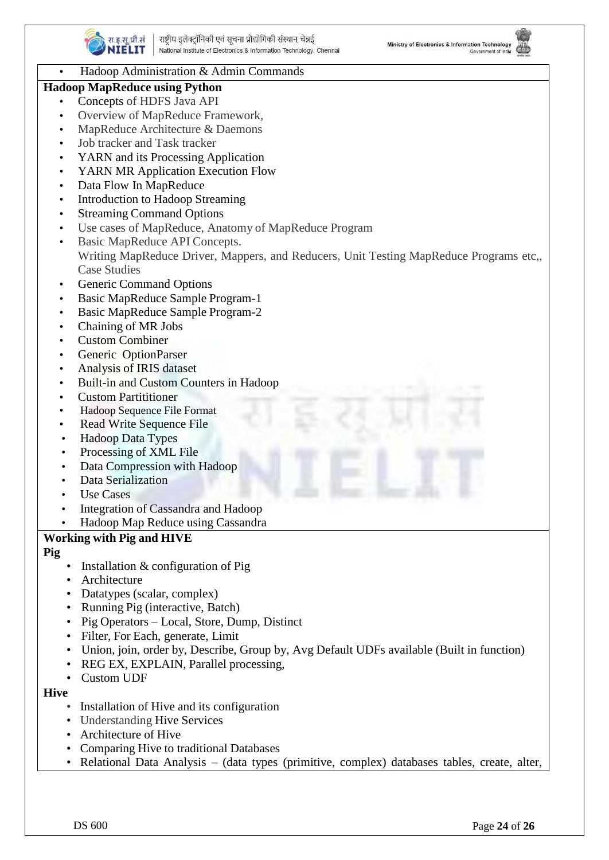



#### • Hadoop Administration & Admin Commands

#### **Hadoop MapReduce using Python**

- Concepts of HDFS Java API
- Overview of MapReduce Framework,
- MapReduce Architecture & Daemons
- Job tracker and Task tracker
- YARN and its Processing Application
- YARN MR Application Execution Flow
- Data Flow In MapReduce
- Introduction to Hadoop Streaming
- Streaming Command Options
- Use cases of MapReduce, Anatomy of MapReduce Program
- Basic MapReduce API Concepts. Writing MapReduce Driver, Mappers, and Reducers, Unit Testing MapReduce Programs etc,, Case Studies
- Generic Command Options
- Basic MapReduce Sample Program-1
- Basic MapReduce Sample Program-2
- Chaining of MR Jobs
- Custom Combiner
- Generic OptionParser
- Analysis of IRIS dataset
- Built-in and Custom Counters in Hadoop
- Custom Partititioner
- Hadoop Sequence File Format
- Read Write Sequence File
- Hadoop Data Types
- Processing of XML File
- Data Compression with Hadoop
- Data Serialization
- Use Cases
- Integration of Cassandra and Hadoop
- Hadoop Map Reduce using Cassandra

#### **Working with Pig and HIVE**

**Pig**

- Installation & configuration of Pig
- **Architecture**
- Datatypes (scalar, complex)
- Running Pig (interactive, Batch)
- Pig Operators Local, Store, Dump, Distinct
- Filter, For Each, generate, Limit
- Union, join, order by, Describe, Group by, Avg Default UDFs available (Built in function)
- REG EX, EXPLAIN, Parallel processing,
- Custom UDF
- **Hive**
	- Installation of Hive and its configuration
	- Understanding Hive Services
	- Architecture of Hive
	- Comparing Hive to traditional Databases
	- Relational Data Analysis (data types (primitive, complex) databases tables, create, alter,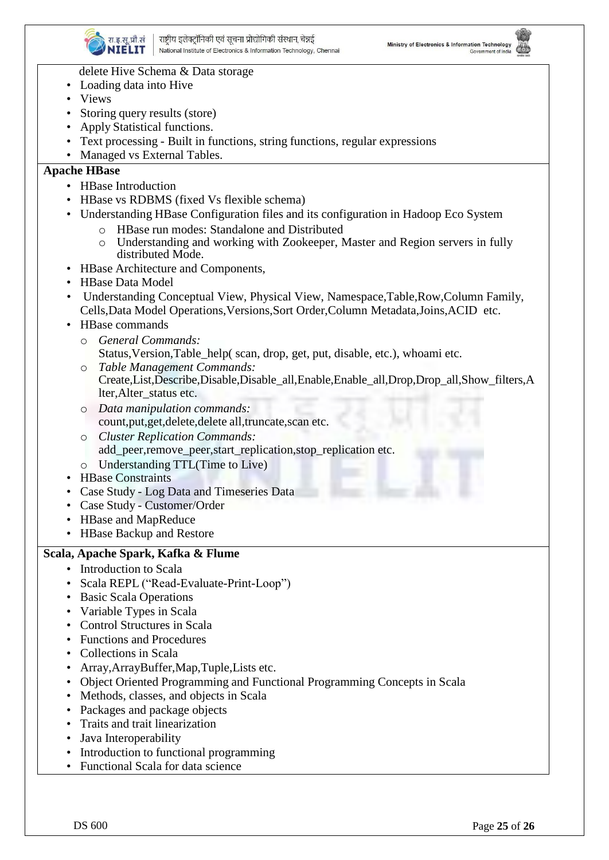



#### delete Hive Schema & Data storage

- Loading data into Hive
- Views
- Storing query results (store)
- Apply Statistical functions.
- Text processing Built in functions, string functions, regular expressions
- Managed vs External Tables.

### **Apache HBase**

- HBase Introduction
- HBase vs RDBMS (fixed Vs flexible schema)
- Understanding HBase Configuration files and its configuration in Hadoop Eco System
	- o HBase run modes: Standalone and Distributed
	- o Understanding and working with Zookeeper, Master and Region servers in fully distributed Mode.
- HBase Architecture and Components,
- HBase Data Model
- Understanding Conceptual View, Physical View, Namespace,Table,Row,Column Family, Cells,Data Model Operations,Versions,Sort Order,Column Metadata,Joins,ACID etc.
- HBase commands
	- o *General Commands:* Status,Version,Table\_help( scan, drop, get, put, disable, etc.), whoami etc.
	- o *Table Management Commands:* Create,List,Describe,Disable,Disable\_all,Enable,Enable\_all,Drop,Drop\_all,Show\_filters,A lter,Alter\_status etc.
	- o *Data manipulation commands:* count,put,get,delete,delete all,truncate,scan etc.
	- o *Cluster Replication Commands:* add\_peer,remove\_peer,start\_replication,stop\_replication etc.
	- o Understanding TTL(Time to Live)
- HBase Constraints
- Case Study Log Data and Timeseries Data
- Case Study Customer/Order
- HBase and MapReduce
- HBase Backup and Restore

#### **Scala, Apache Spark, Kafka & Flume**

- Introduction to Scala
- Scala REPL ("Read-Evaluate-Print-Loop")
- Basic Scala Operations
- Variable Types in Scala
- Control Structures in Scala
- Functions and Procedures
- Collections in Scala
- Array, Array Buffer, Map, Tuple, Lists etc.
- Object Oriented Programming and Functional Programming Concepts in Scala
- Methods, classes, and objects in Scala
- Packages and package objects
- Traits and trait linearization
- Java Interoperability
- Introduction to functional programming
- Functional Scala for data science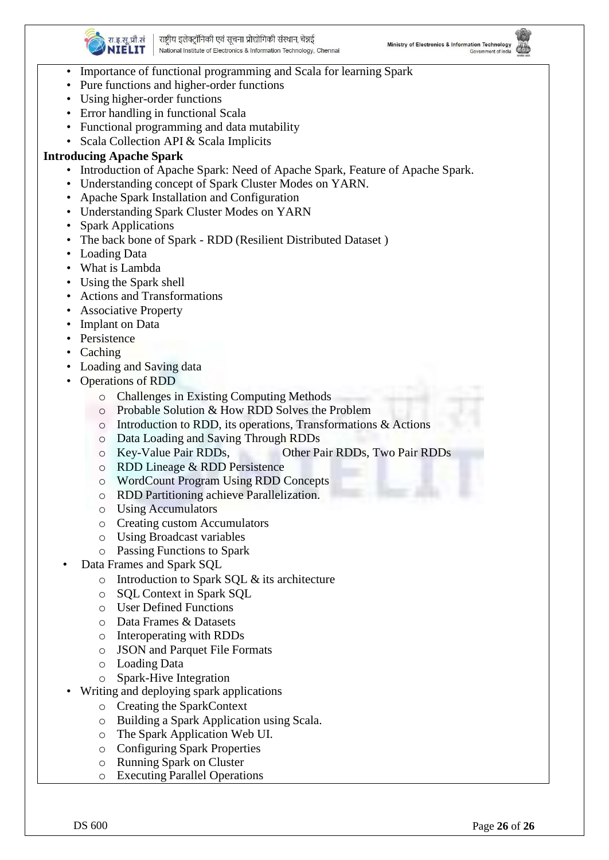



- Importance of functional programming and Scala for learning Spark
- Pure functions and higher-order functions
- Using higher-order functions
- Error handling in functional Scala
- Functional programming and data mutability
- Scala Collection API & Scala Implicits

#### **Introducing Apache Spark**

- Introduction of Apache Spark: Need of Apache Spark, Feature of Apache Spark.
- Understanding concept of Spark Cluster Modes on YARN.
- Apache Spark Installation and Configuration
- Understanding Spark Cluster Modes on YARN
- Spark Applications
- The back bone of Spark RDD (Resilient Distributed Dataset )
- Loading Data
- What is Lambda
- Using the Spark shell
- Actions and Transformations
- Associative Property
- Implant on Data
- Persistence
- Caching
- Loading and Saving data
- Operations of RDD
	- o Challenges in Existing Computing Methods
	- o Probable Solution & How RDD Solves the Problem
	- o Introduction to RDD, its operations, Transformations & Actions
	- o Data Loading and Saving Through RDDs
	- o Key-Value Pair RDDs, Other Pair RDDs, Two Pair RDDs
	- o RDD Lineage & RDD Persistence
	- o WordCount Program Using RDD Concepts
	- o RDD Partitioning achieve Parallelization.
	- o Using Accumulators
	- o Creating custom Accumulators
	- o Using Broadcast variables
		- o Passing Functions to Spark
	- Data Frames and Spark SQL
		- o Introduction to Spark SQL & its architecture
		- o SQL Context in Spark SQL
		- o User Defined Functions
		- o Data Frames & Datasets
		- o Interoperating with RDDs
		- o JSON and Parquet File Formats
		- o Loading Data
		- o Spark-Hive Integration
- Writing and deploying spark applications
	- o Creating the SparkContext
	- o Building a Spark Application using Scala.
	- o The Spark Application Web UI.
	- o Configuring Spark Properties
	- o Running Spark on Cluster
	- o Executing Parallel Operations